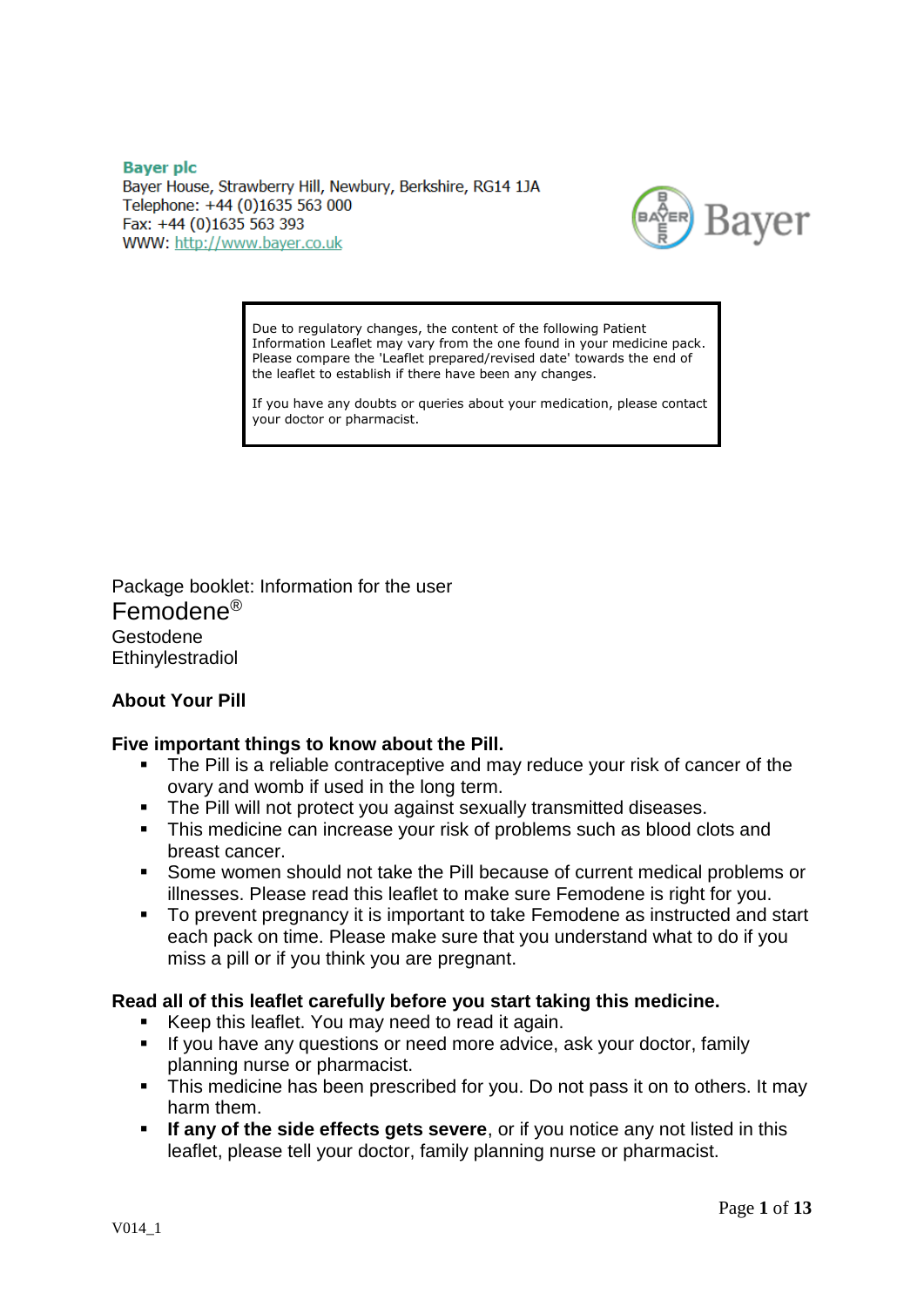**Baver plc** Bayer House, Strawberry Hill, Newbury, Berkshire, RG14 1JA Telephone: +44 (0)1635 563 000 Fax: +44 (0)1635 563 393 WWW: http://www.bayer.co.uk



Due to regulatory changes, the content of the following Patient Information Leaflet may vary from the one found in your medicine pack. Please compare the 'Leaflet prepared/revised date' towards the end of the leaflet to establish if there have been any changes.

If you have any doubts or queries about your medication, please contact your doctor or pharmacist.

Package booklet: Information for the user Femodene® Gestodene Ethinylestradiol

## **About Your Pill**

## **Five important things to know about the Pill.**

- The Pill is a reliable contraceptive and may reduce your risk of cancer of the ovary and womb if used in the long term.
- The Pill will not protect you against sexually transmitted diseases.
- This medicine can increase your risk of problems such as blood clots and breast cancer.
- Some women should not take the Pill because of current medical problems or illnesses. Please read this leaflet to make sure Femodene is right for you.
- To prevent pregnancy it is important to take Femodene as instructed and start each pack on time. Please make sure that you understand what to do if you miss a pill or if you think you are pregnant.

## **Read all of this leaflet carefully before you start taking this medicine.**

- Keep this leaflet. You may need to read it again.
- If you have any questions or need more advice, ask your doctor, family planning nurse or pharmacist.
- This medicine has been prescribed for you. Do not pass it on to others. It may harm them.
- **If any of the side effects gets severe**, or if you notice any not listed in this leaflet, please tell your doctor, family planning nurse or pharmacist.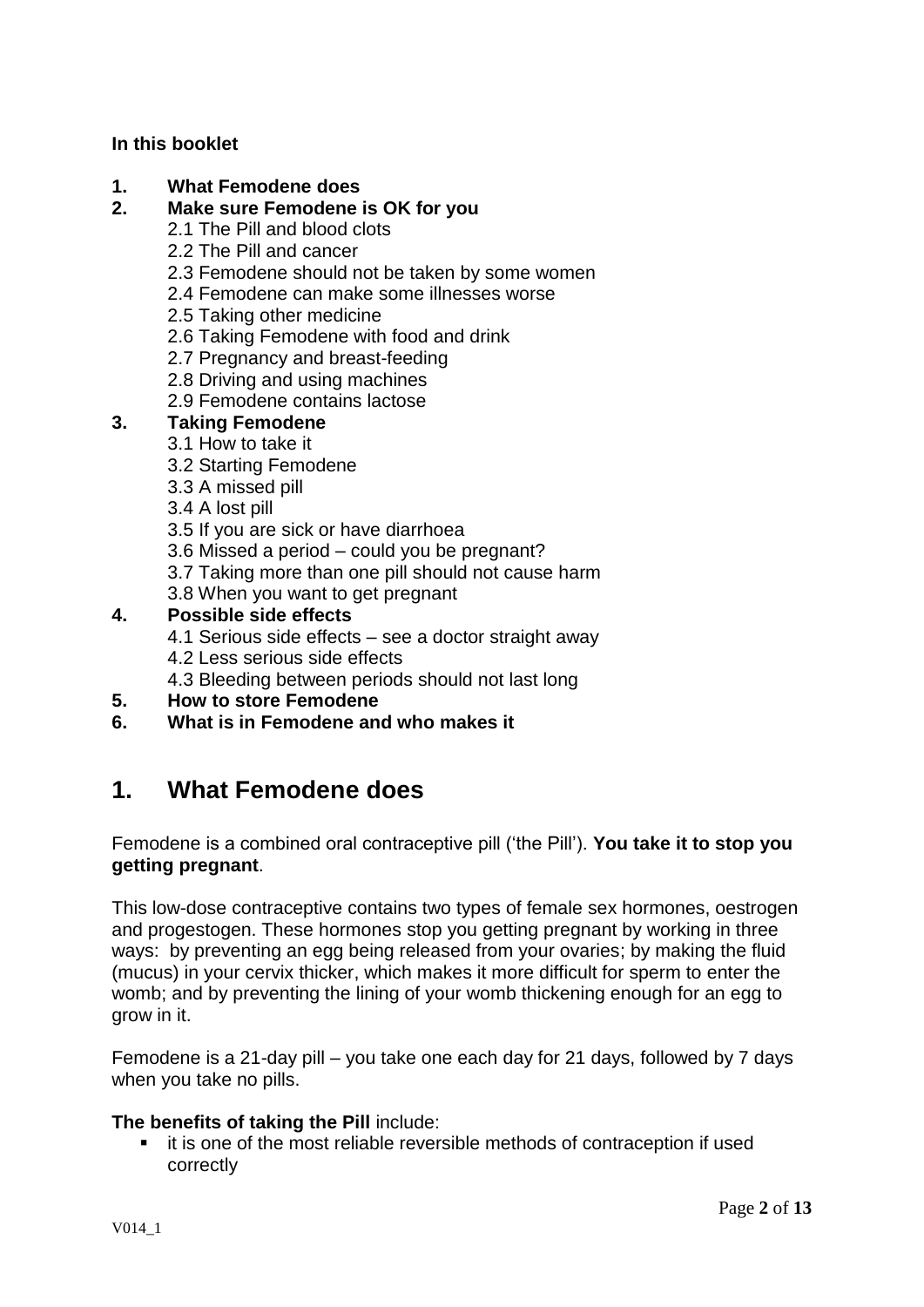## **In this booklet**

## **1. What Femodene does**

## **2. Make sure Femodene is OK for you**

- 2.1 The Pill and blood clots
- 2.2 The Pill and cancer
- 2.3 Femodene should not be taken by some women
- 2.4 Femodene can make some illnesses worse
- 2.5 Taking other medicine
- 2.6 Taking Femodene with food and drink
- 2.7 Pregnancy and breast-feeding
- 2.8 Driving and using machines
- 2.9 Femodene contains lactose

## **3. Taking Femodene**

- 3.1 How to take it
- 3.2 Starting Femodene
- 3.3 A missed pill
- 3.4 A lost pill
- 3.5 If you are sick or have diarrhoea
- 3.6 Missed a period could you be pregnant?
- 3.7 Taking more than one pill should not cause harm
- 3.8 When you want to get pregnant

## **4. Possible side effects**

- 4.1 Serious side effects see a doctor straight away
- 4.2 Less serious side effects
- 4.3 Bleeding between periods should not last long
- **5. How to store Femodene**
- **6. What is in Femodene and who makes it**

# **1. What Femodene does**

Femodene is a combined oral contraceptive pill ('the Pill'). **You take it to stop you getting pregnant**.

This low-dose contraceptive contains two types of female sex hormones, oestrogen and progestogen. These hormones stop you getting pregnant by working in three ways: by preventing an egg being released from your ovaries; by making the fluid (mucus) in your cervix thicker, which makes it more difficult for sperm to enter the womb; and by preventing the lining of your womb thickening enough for an egg to grow in it.

Femodene is a 21-day pill – you take one each day for 21 days, followed by 7 days when you take no pills.

## **The benefits of taking the Pill** include:

 it is one of the most reliable reversible methods of contraception if used correctly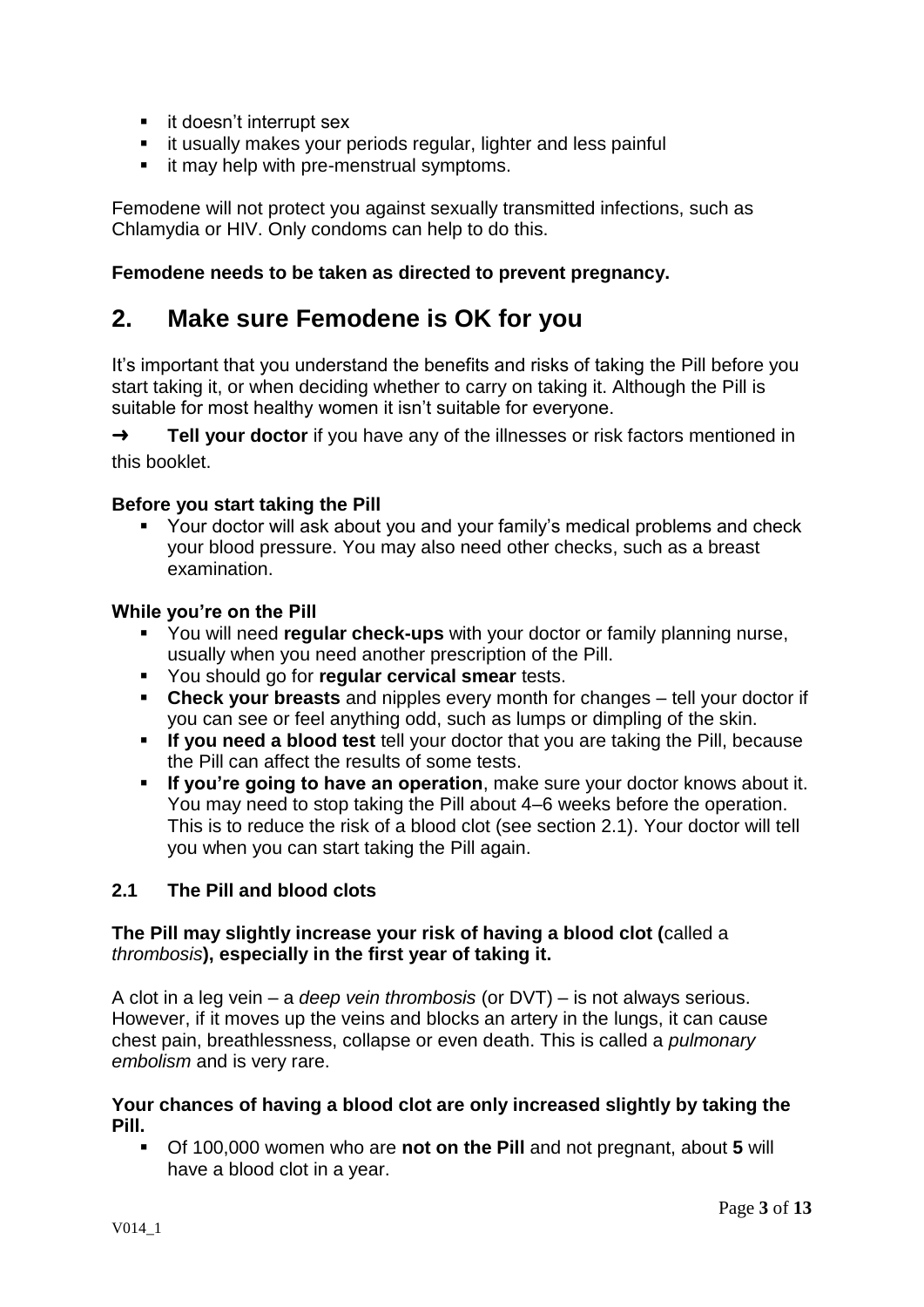- **i** it doesn't interrupt sex
- **i** it usually makes your periods regular, lighter and less painful
- **F** it may help with pre-menstrual symptoms.

Femodene will not protect you against sexually transmitted infections, such as Chlamydia or HIV. Only condoms can help to do this.

## **Femodene needs to be taken as directed to prevent pregnancy.**

# **2. Make sure Femodene is OK for you**

It's important that you understand the benefits and risks of taking the Pill before you start taking it, or when deciding whether to carry on taking it. Although the Pill is suitable for most healthy women it isn't suitable for everyone.

➜ **Tell your doctor** if you have any of the illnesses or risk factors mentioned in this booklet.

## **Before you start taking the Pill**

 Your doctor will ask about you and your family's medical problems and check your blood pressure. You may also need other checks, such as a breast examination.

#### **While you're on the Pill**

- You will need **regular check-ups** with your doctor or family planning nurse, usually when you need another prescription of the Pill.
- You should go for **regular cervical smear** tests.
- **Check your breasts** and nipples every month for changes tell your doctor if you can see or feel anything odd, such as lumps or dimpling of the skin.
- **If you need a blood test** tell your doctor that you are taking the Pill, because the Pill can affect the results of some tests.
- **If you're going to have an operation**, make sure your doctor knows about it. You may need to stop taking the Pill about 4–6 weeks before the operation. This is to reduce the risk of a blood clot (see section 2.1). Your doctor will tell you when you can start taking the Pill again.

## **2.1 The Pill and blood clots**

## **The Pill may slightly increase your risk of having a blood clot (**called a *thrombosis***), especially in the first year of taking it.**

A clot in a leg vein – a *deep vein thrombosis* (or DVT) – is not always serious. However, if it moves up the veins and blocks an artery in the lungs, it can cause chest pain, breathlessness, collapse or even death. This is called a *pulmonary embolism* and is very rare.

#### **Your chances of having a blood clot are only increased slightly by taking the Pill.**

 Of 100,000 women who are **not on the Pill** and not pregnant, about **5** will have a blood clot in a year.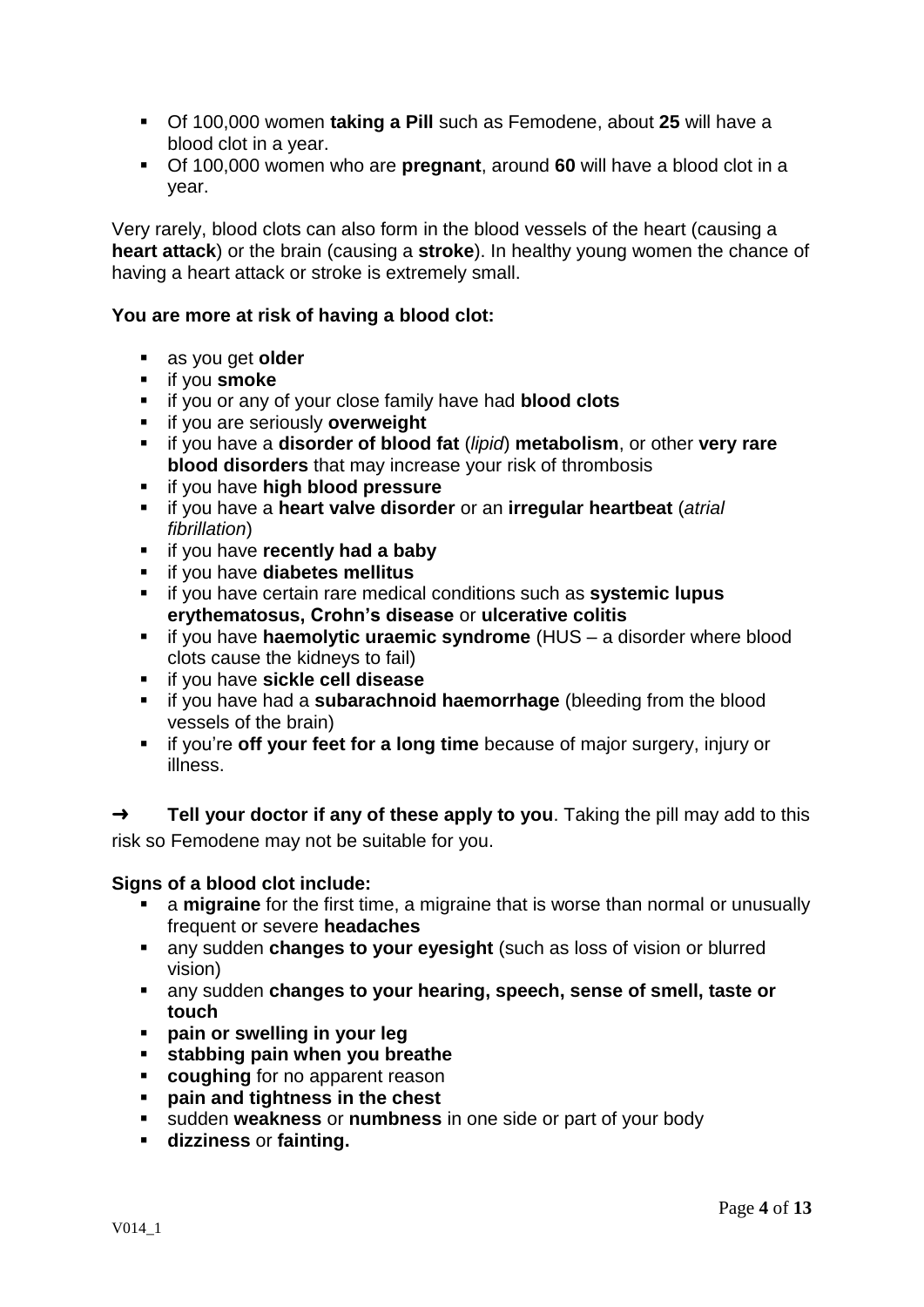- Of 100,000 women **taking a Pill** such as Femodene, about **25** will have a blood clot in a year.
- Of 100,000 women who are **pregnant**, around **60** will have a blood clot in a year.

Very rarely, blood clots can also form in the blood vessels of the heart (causing a **heart attack**) or the brain (causing a **stroke**). In healthy young women the chance of having a heart attack or stroke is extremely small.

## **You are more at risk of having a blood clot:**

- as you get **older**
- **if you smoke**
- if you or any of your close family have had **blood clots**
- **if you are seriously overweight**
- if you have a **disorder of blood fat** (*lipid*) **metabolism**, or other **very rare blood disorders** that may increase your risk of thrombosis
- if you have **high blood pressure**
- if you have a **heart valve disorder** or an **irregular heartbeat** (*atrial fibrillation*)
- $\blacksquare$  if you have **recently had a baby**
- if you have **diabetes mellitus**
- if you have certain rare medical conditions such as **systemic lupus erythematosus, Crohn's disease** or **ulcerative colitis**
- if you have **haemolytic uraemic syndrome** (HUS a disorder where blood clots cause the kidneys to fail)
- if you have **sickle cell disease**
- if you have had a **subarachnoid haemorrhage** (bleeding from the blood vessels of the brain)
- **i** if you're off your feet for a long time because of major surgery, injury or illness.

➜ **Tell your doctor if any of these apply to you**. Taking the pill may add to this risk so Femodene may not be suitable for you.

## **Signs of a blood clot include:**

- a **migraine** for the first time, a migraine that is worse than normal or unusually frequent or severe **headaches**
- any sudden **changes to your eyesight** (such as loss of vision or blurred vision)
- any sudden **changes to your hearing, speech, sense of smell, taste or touch**
- **pain or swelling in your leg**
- **stabbing pain when you breathe**
- **coughing** for no apparent reason
- **pain and tightness in the chest**
- sudden **weakness** or **numbness** in one side or part of your body
- **dizziness** or **fainting.**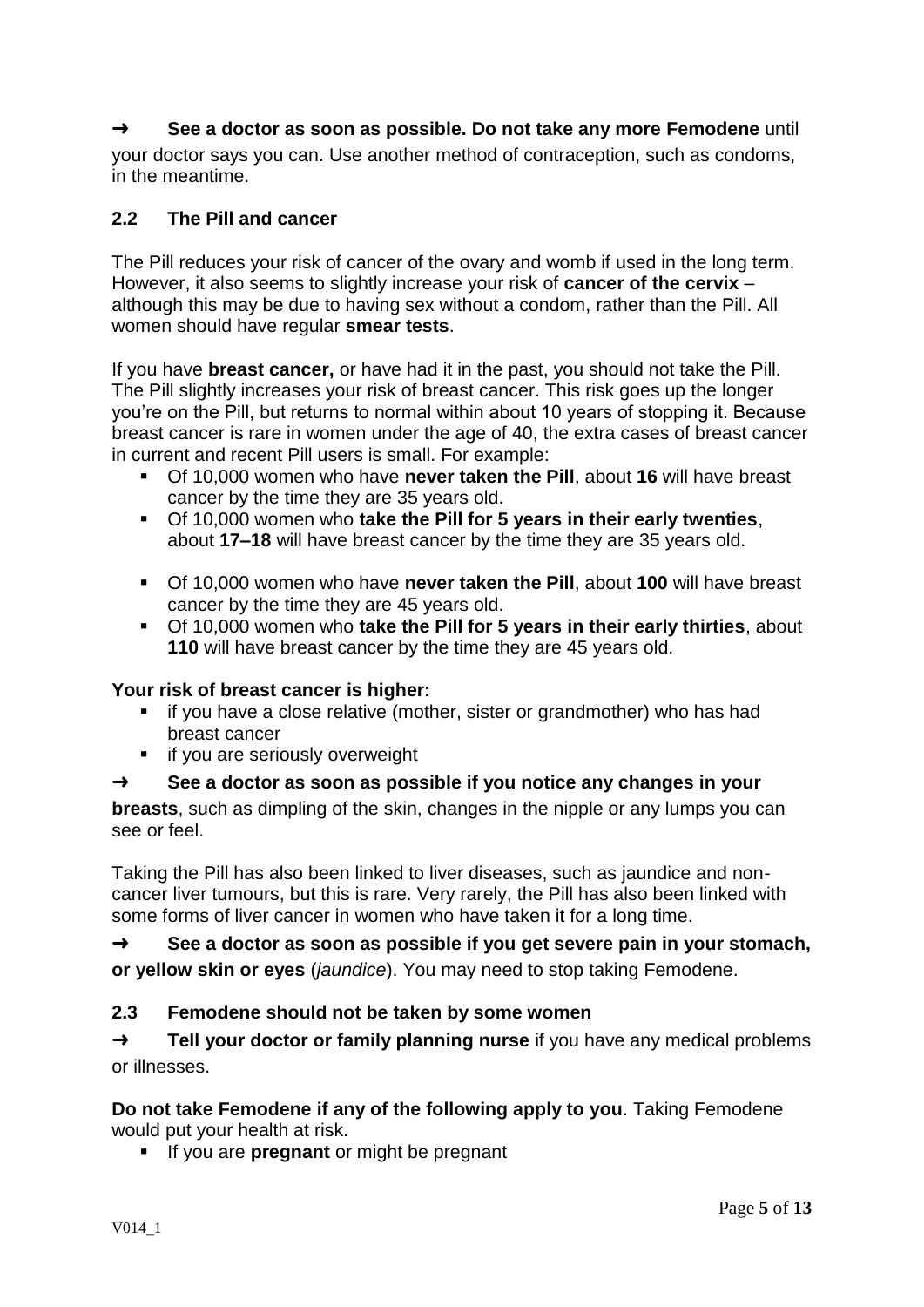## ➜ **See a doctor as soon as possible. Do not take any more Femodene** until

your doctor says you can. Use another method of contraception, such as condoms, in the meantime.

## **2.2 The Pill and cancer**

The Pill reduces your risk of cancer of the ovary and womb if used in the long term. However, it also seems to slightly increase your risk of **cancer of the cervix** – although this may be due to having sex without a condom, rather than the Pill. All women should have regular **smear tests**.

If you have **breast cancer,** or have had it in the past, you should not take the Pill. The Pill slightly increases your risk of breast cancer. This risk goes up the longer you're on the Pill, but returns to normal within about 10 years of stopping it. Because breast cancer is rare in women under the age of 40, the extra cases of breast cancer in current and recent Pill users is small. For example:

- Of 10,000 women who have **never taken the Pill**, about **16** will have breast cancer by the time they are 35 years old.
- Of 10,000 women who **take the Pill for 5 years in their early twenties**, about **17–18** will have breast cancer by the time they are 35 years old.
- Of 10,000 women who have **never taken the Pill**, about **100** will have breast cancer by the time they are 45 years old.
- Of 10,000 women who **take the Pill for 5 years in their early thirties**, about **110** will have breast cancer by the time they are 45 years old.

## **Your risk of breast cancer is higher:**

- if you have a close relative (mother, sister or grandmother) who has had breast cancer
- **if you are seriously overweight**

## ➜ **See a doctor as soon as possible if you notice any changes in your**

**breasts**, such as dimpling of the skin, changes in the nipple or any lumps you can see or feel.

Taking the Pill has also been linked to liver diseases, such as jaundice and noncancer liver tumours, but this is rare. Very rarely, the Pill has also been linked with some forms of liver cancer in women who have taken it for a long time.

➜ **See a doctor as soon as possible if you get severe pain in your stomach, or yellow skin or eyes** (*jaundice*). You may need to stop taking Femodene.

## **2.3 Femodene should not be taken by some women**

➜ **Tell your doctor or family planning nurse** if you have any medical problems or illnesses.

## **Do not take Femodene if any of the following apply to you**. Taking Femodene would put your health at risk.

**If you are pregnant** or might be pregnant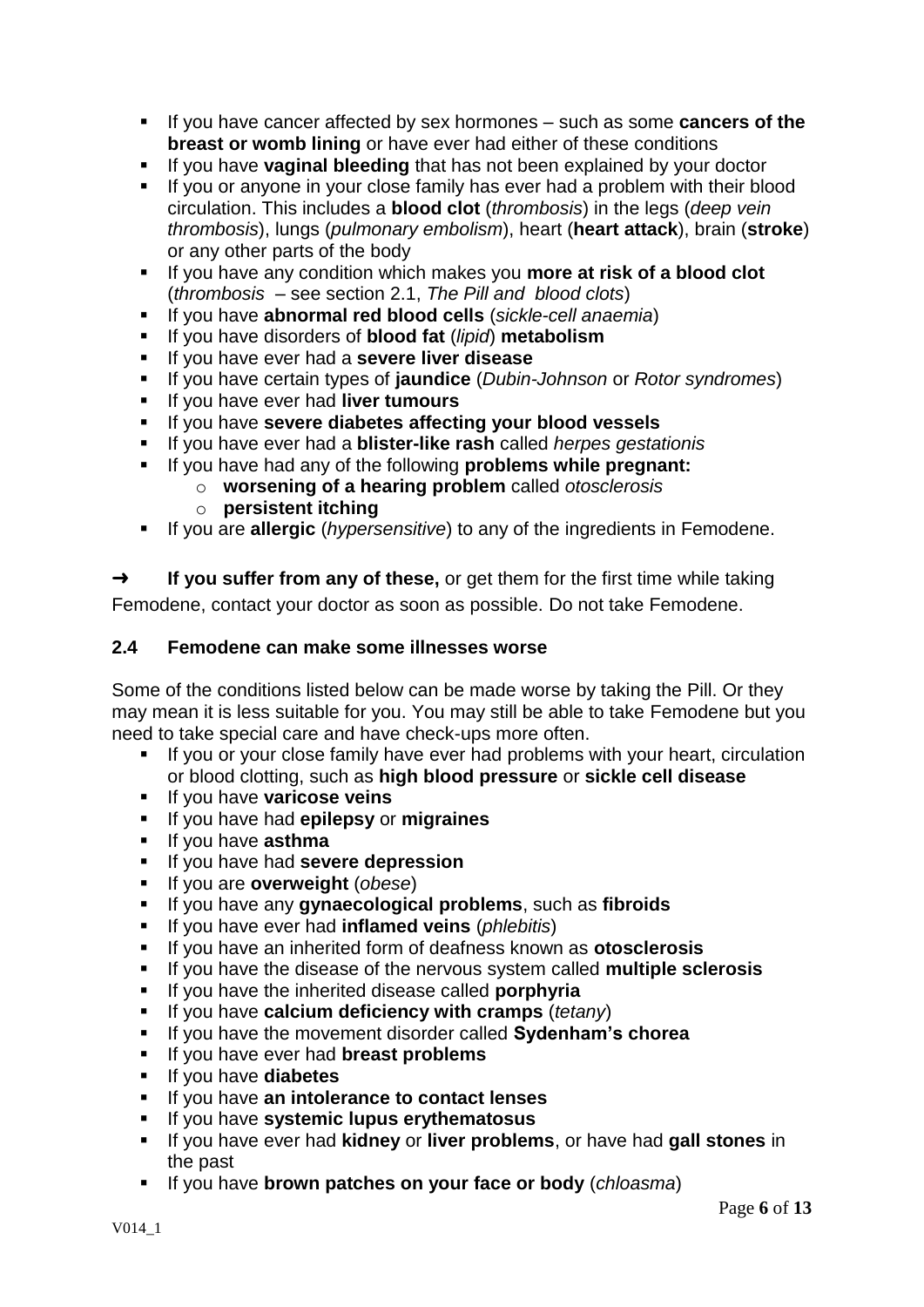- If you have cancer affected by sex hormones such as some **cancers of the breast or womb lining** or have ever had either of these conditions
- **If you have vaginal bleeding** that has not been explained by your doctor
- If you or anyone in your close family has ever had a problem with their blood circulation. This includes a **blood clot** (*thrombosis*) in the legs (*deep vein thrombosis*), lungs (*pulmonary embolism*), heart (**heart attack**), brain (**stroke**) or any other parts of the body
- If you have any condition which makes you **more at risk of a blood clot** (*thrombosis* – see section 2.1, *The Pill and blood clots*)
- If you have **abnormal red blood cells** (*sickle-cell anaemia*)
- If you have disorders of **blood fat** (*lipid*) **metabolism**
- If you have ever had a **severe liver disease**
- If you have certain types of **jaundice** (*Dubin-Johnson* or *Rotor syndromes*)
- If you have ever had **liver tumours**
- If you have **severe diabetes affecting your blood vessels**
- If you have ever had a **blister-like rash** called *herpes gestationis*
- If you have had any of the following **problems while pregnant:**
	- o **worsening of a hearing problem** called *otosclerosis*
	- o **persistent itching**
- If you are **allergic** (*hypersensitive*) to any of the ingredients in Femodene.

➜ **If you suffer from any of these,** or get them for the first time while taking Femodene, contact your doctor as soon as possible. Do not take Femodene.

## **2.4 Femodene can make some illnesses worse**

Some of the conditions listed below can be made worse by taking the Pill. Or they may mean it is less suitable for you. You may still be able to take Femodene but you need to take special care and have check-ups more often.

- If you or your close family have ever had problems with your heart, circulation or blood clotting, such as **high blood pressure** or **sickle cell disease**
- **If you have varicose veins**
- If you have had **epilepsy** or **migraines**
- **If you have asthma**
- If you have had **severe depression**
- If you are **overweight** (*obese*)
- If you have any **gynaecological problems**, such as **fibroids**
- If you have ever had **inflamed veins** (*phlebitis*)
- If you have an inherited form of deafness known as **otosclerosis**
- If you have the disease of the nervous system called **multiple sclerosis**
- **If you have the inherited disease called porphyria**
- If you have **calcium deficiency with cramps** (*tetany*)
- If you have the movement disorder called **Sydenham's chorea**
- If you have ever had **breast problems**
- If you have **diabetes**
- If you have **an intolerance to contact lenses**
- If you have **systemic lupus erythematosus**
- If you have ever had **kidney** or **liver problems**, or have had **gall stones** in the past
- If you have **brown patches on your face or body** (*chloasma*)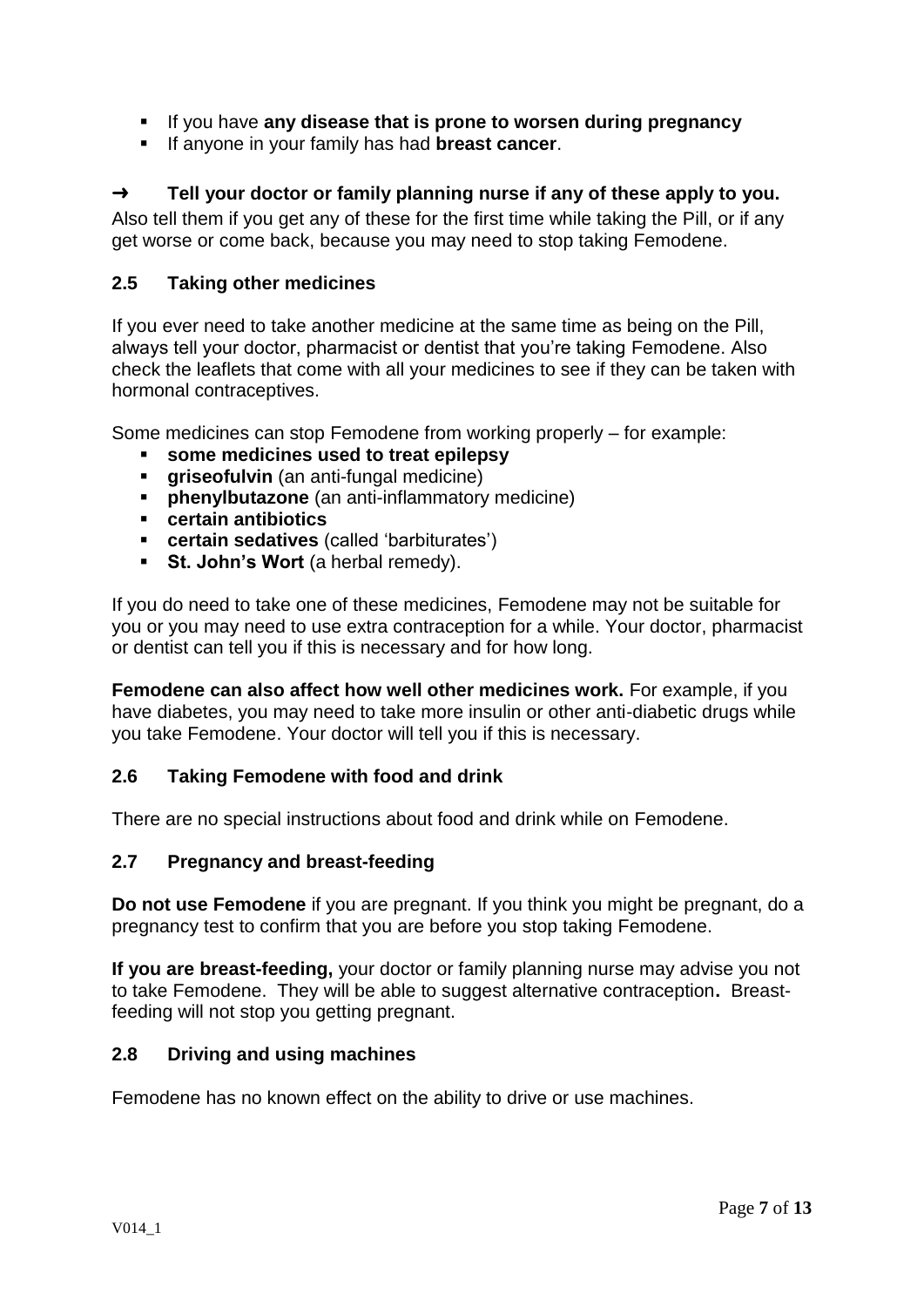- If you have **any disease that is prone to worsen during pregnancy**
- If anyone in your family has had **breast cancer**.

## ➜ **Tell your doctor or family planning nurse if any of these apply to you.**

Also tell them if you get any of these for the first time while taking the Pill, or if any get worse or come back, because you may need to stop taking Femodene.

## **2.5 Taking other medicines**

If you ever need to take another medicine at the same time as being on the Pill, always tell your doctor, pharmacist or dentist that you're taking Femodene. Also check the leaflets that come with all your medicines to see if they can be taken with hormonal contraceptives.

Some medicines can stop Femodene from working properly – for example:

- **some medicines used to treat epilepsy**
- **griseofulvin** (an anti-fungal medicine)
- **phenylbutazone** (an anti-inflammatory medicine)
- **certain antibiotics**
- **certain sedatives** (called 'barbiturates')
- **St. John's Wort** (a herbal remedy).

If you do need to take one of these medicines, Femodene may not be suitable for you or you may need to use extra contraception for a while. Your doctor, pharmacist or dentist can tell you if this is necessary and for how long.

**Femodene can also affect how well other medicines work.** For example, if you have diabetes, you may need to take more insulin or other anti-diabetic drugs while you take Femodene. Your doctor will tell you if this is necessary.

## **2.6 Taking Femodene with food and drink**

There are no special instructions about food and drink while on Femodene.

## **2.7 Pregnancy and breast-feeding**

**Do not use Femodene** if you are pregnant. If you think you might be pregnant, do a pregnancy test to confirm that you are before you stop taking Femodene.

**If you are breast-feeding,** your doctor or family planning nurse may advise you not to take Femodene. They will be able to suggest alternative contraception**.** Breastfeeding will not stop you getting pregnant.

## **2.8 Driving and using machines**

Femodene has no known effect on the ability to drive or use machines.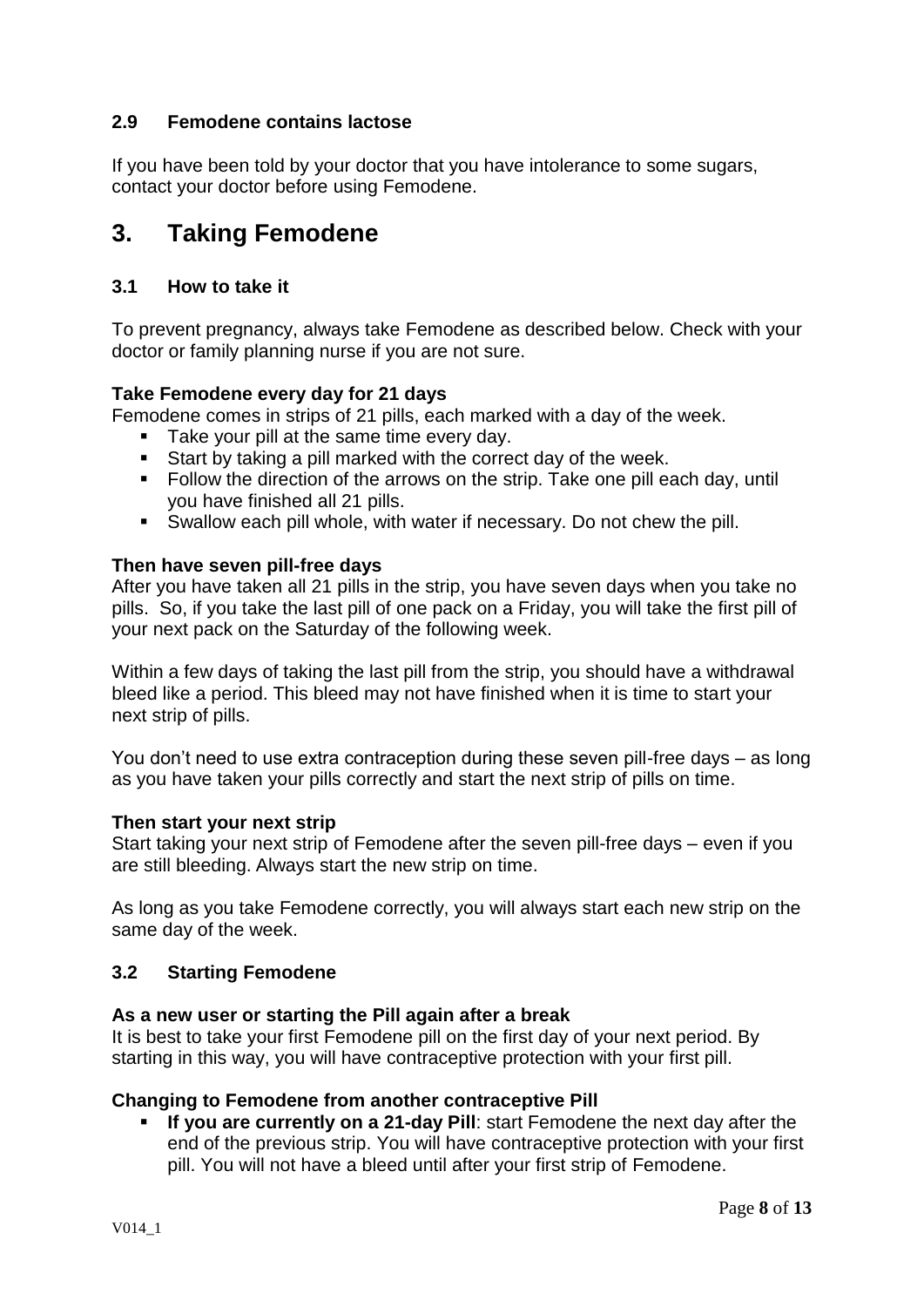## **2.9 Femodene contains lactose**

If you have been told by your doctor that you have intolerance to some sugars, contact your doctor before using Femodene.

# **3. Taking Femodene**

## **3.1 How to take it**

To prevent pregnancy, always take Femodene as described below. Check with your doctor or family planning nurse if you are not sure.

## **Take Femodene every day for 21 days**

Femodene comes in strips of 21 pills, each marked with a day of the week.

- Take your pill at the same time every day.
- Start by taking a pill marked with the correct day of the week.
- Follow the direction of the arrows on the strip. Take one pill each day, until you have finished all 21 pills.
- Swallow each pill whole, with water if necessary. Do not chew the pill.

## **Then have seven pill-free days**

After you have taken all 21 pills in the strip, you have seven days when you take no pills. So, if you take the last pill of one pack on a Friday, you will take the first pill of your next pack on the Saturday of the following week.

Within a few days of taking the last pill from the strip, you should have a withdrawal bleed like a period. This bleed may not have finished when it is time to start your next strip of pills.

You don't need to use extra contraception during these seven pill-free days – as long as you have taken your pills correctly and start the next strip of pills on time.

## **Then start your next strip**

Start taking your next strip of Femodene after the seven pill-free days – even if you are still bleeding. Always start the new strip on time.

As long as you take Femodene correctly, you will always start each new strip on the same day of the week.

## **3.2 Starting Femodene**

## **As a new user or starting the Pill again after a break**

It is best to take your first Femodene pill on the first day of your next period. By starting in this way, you will have contraceptive protection with your first pill.

## **Changing to Femodene from another contraceptive Pill**

 **If you are currently on a 21-day Pill**: start Femodene the next day after the end of the previous strip. You will have contraceptive protection with your first pill. You will not have a bleed until after your first strip of Femodene.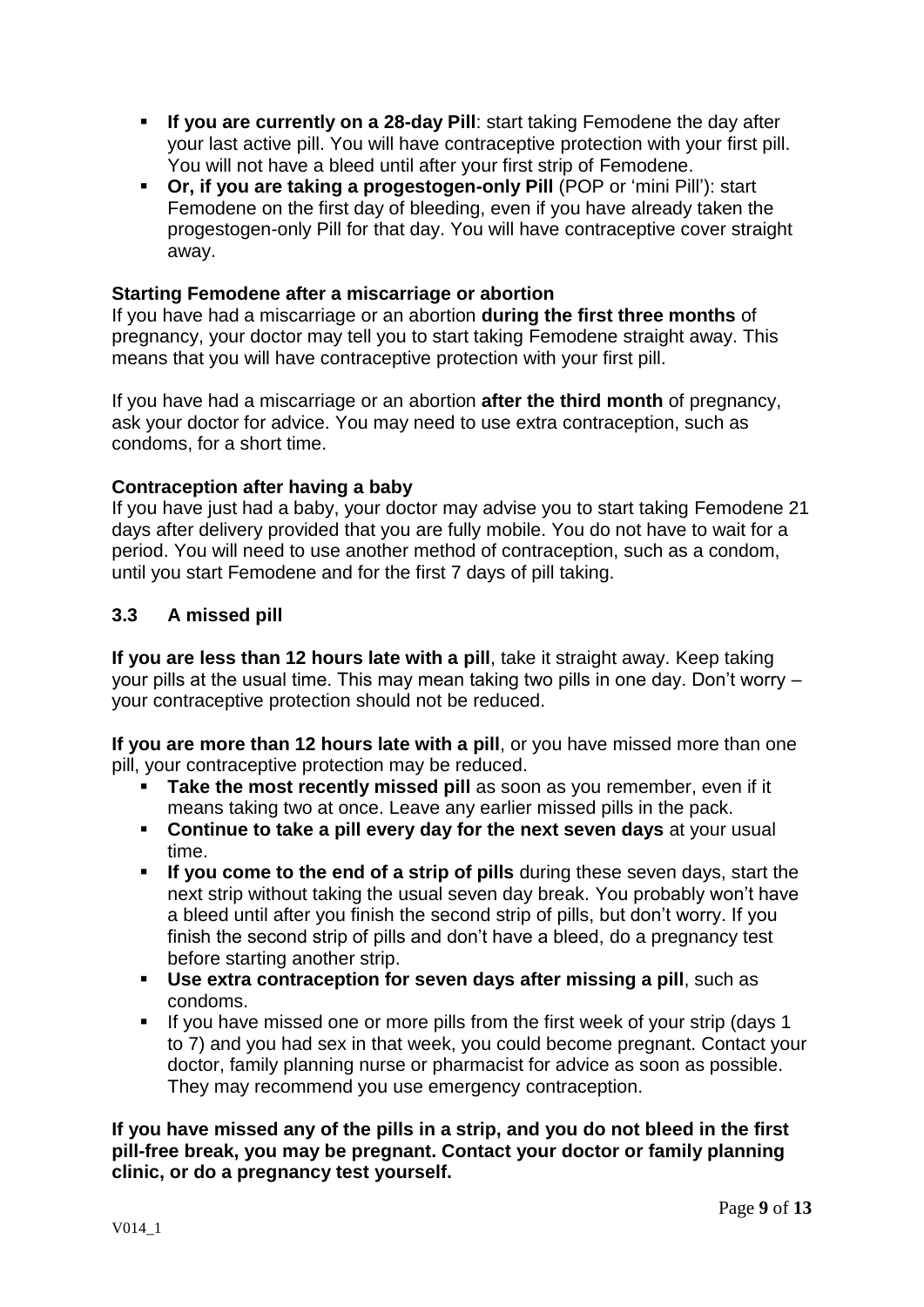- **If you are currently on a 28-day Pill**: start taking Femodene the day after your last active pill. You will have contraceptive protection with your first pill. You will not have a bleed until after your first strip of Femodene.
- **Or, if you are taking a progestogen-only Pill (POP or 'mini Pill'): start** Femodene on the first day of bleeding, even if you have already taken the progestogen-only Pill for that day. You will have contraceptive cover straight away.

#### **Starting Femodene after a miscarriage or abortion**

If you have had a miscarriage or an abortion **during the first three months** of pregnancy, your doctor may tell you to start taking Femodene straight away. This means that you will have contraceptive protection with your first pill.

If you have had a miscarriage or an abortion **after the third month** of pregnancy, ask your doctor for advice. You may need to use extra contraception, such as condoms, for a short time.

## **Contraception after having a baby**

If you have just had a baby, your doctor may advise you to start taking Femodene 21 days after delivery provided that you are fully mobile. You do not have to wait for a period. You will need to use another method of contraception, such as a condom, until you start Femodene and for the first 7 days of pill taking.

## **3.3 A missed pill**

**If you are less than 12 hours late with a pill**, take it straight away. Keep taking your pills at the usual time. This may mean taking two pills in one day. Don't worry – your contraceptive protection should not be reduced.

**If you are more than 12 hours late with a pill**, or you have missed more than one pill, your contraceptive protection may be reduced.

- **Take the most recently missed pill** as soon as you remember, even if it means taking two at once. Leave any earlier missed pills in the pack.
- **Continue to take a pill every day for the next seven days at your usual** time.
- **If you come to the end of a strip of pills** during these seven days, start the next strip without taking the usual seven day break. You probably won't have a bleed until after you finish the second strip of pills, but don't worry. If you finish the second strip of pills and don't have a bleed, do a pregnancy test before starting another strip.
- **Use extra contraception for seven days after missing a pill**, such as condoms.
- If you have missed one or more pills from the first week of your strip (days 1 to 7) and you had sex in that week, you could become pregnant. Contact your doctor, family planning nurse or pharmacist for advice as soon as possible. They may recommend you use emergency contraception.

**If you have missed any of the pills in a strip, and you do not bleed in the first pill-free break, you may be pregnant. Contact your doctor or family planning clinic, or do a pregnancy test yourself.**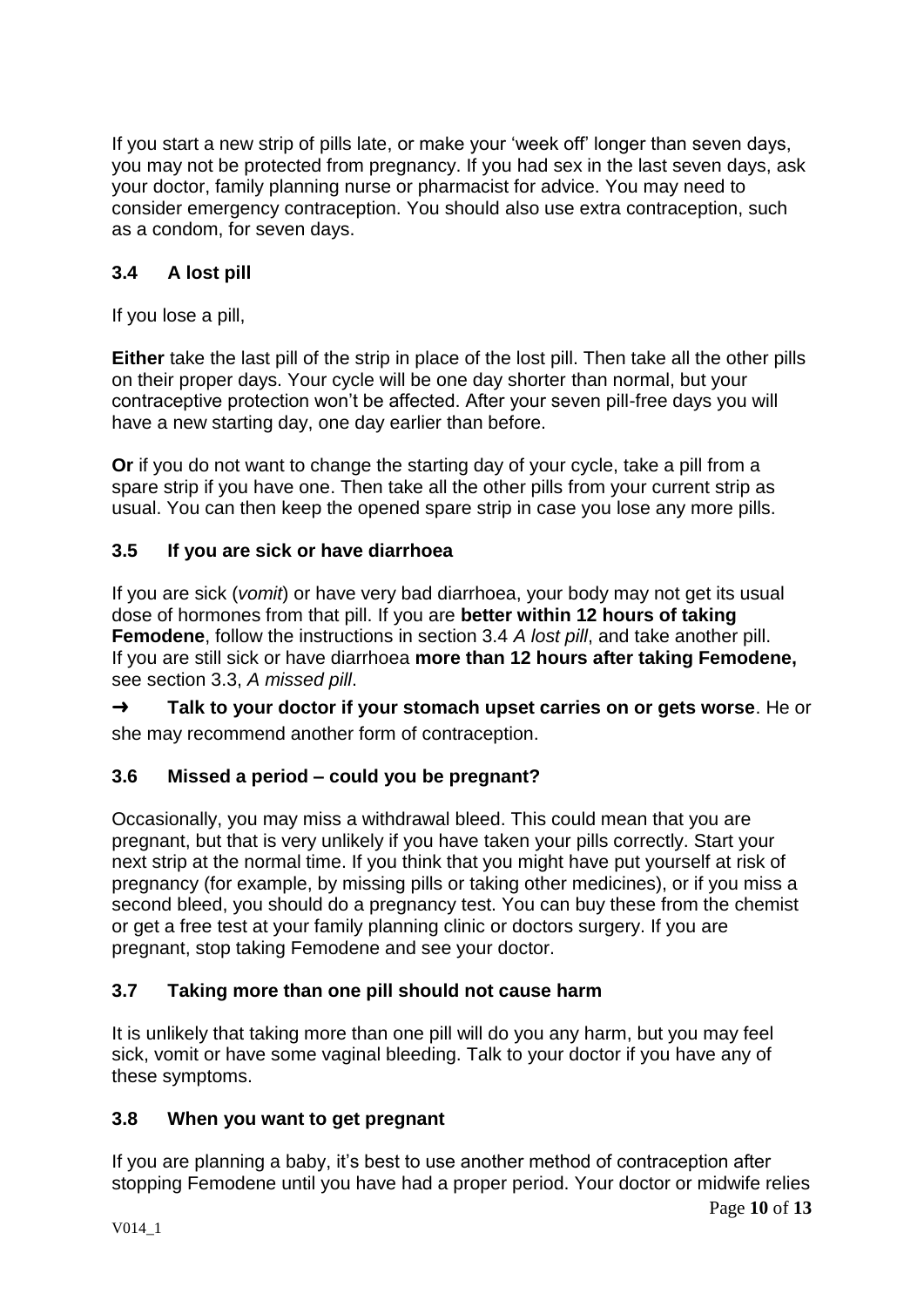If you start a new strip of pills late, or make your 'week off' longer than seven days, you may not be protected from pregnancy. If you had sex in the last seven days, ask your doctor, family planning nurse or pharmacist for advice. You may need to consider emergency contraception. You should also use extra contraception, such as a condom, for seven days.

## **3.4 A lost pill**

If you lose a pill,

**Either** take the last pill of the strip in place of the lost pill. Then take all the other pills on their proper days. Your cycle will be one day shorter than normal, but your contraceptive protection won't be affected. After your seven pill-free days you will have a new starting day, one day earlier than before.

**Or** if you do not want to change the starting day of your cycle, take a pill from a spare strip if you have one. Then take all the other pills from your current strip as usual. You can then keep the opened spare strip in case you lose any more pills.

## **3.5 If you are sick or have diarrhoea**

If you are sick (*vomit*) or have very bad diarrhoea, your body may not get its usual dose of hormones from that pill. If you are **better within 12 hours of taking Femodene**, follow the instructions in section 3.4 *A lost pill*, and take another pill. If you are still sick or have diarrhoea **more than 12 hours after taking Femodene,** see section 3.3, *A missed pill*.

➜ **Talk to your doctor if your stomach upset carries on or gets worse**. He or she may recommend another form of contraception.

## **3.6 Missed a period – could you be pregnant?**

Occasionally, you may miss a withdrawal bleed. This could mean that you are pregnant, but that is very unlikely if you have taken your pills correctly. Start your next strip at the normal time. If you think that you might have put yourself at risk of pregnancy (for example, by missing pills or taking other medicines), or if you miss a second bleed, you should do a pregnancy test. You can buy these from the chemist or get a free test at your family planning clinic or doctors surgery. If you are pregnant, stop taking Femodene and see your doctor.

## **3.7 Taking more than one pill should not cause harm**

It is unlikely that taking more than one pill will do you any harm, but you may feel sick, vomit or have some vaginal bleeding. Talk to your doctor if you have any of these symptoms.

## **3.8 When you want to get pregnant**

If you are planning a baby, it's best to use another method of contraception after stopping Femodene until you have had a proper period. Your doctor or midwife relies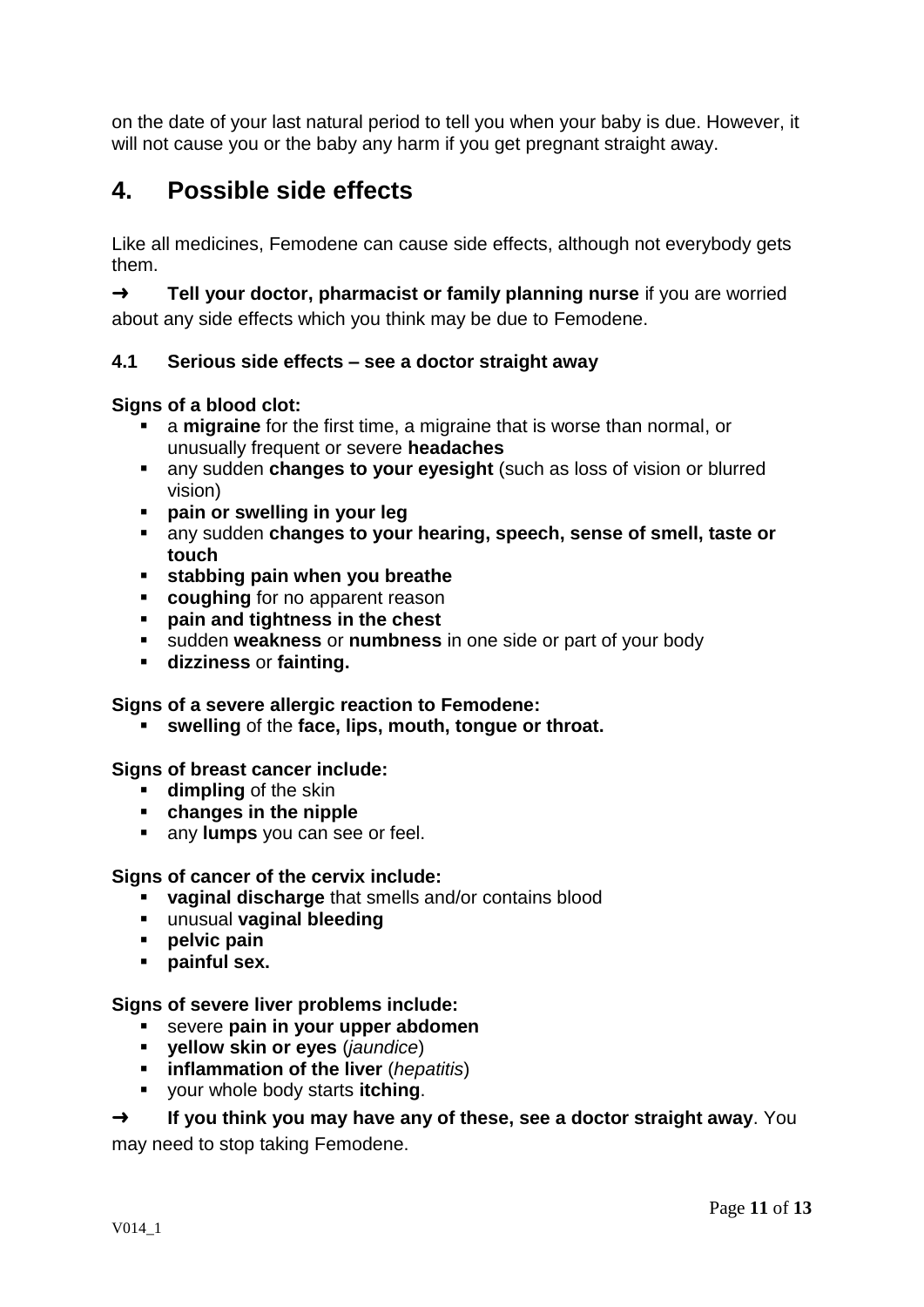on the date of your last natural period to tell you when your baby is due. However, it will not cause you or the baby any harm if you get pregnant straight away.

# **4. Possible side effects**

Like all medicines, Femodene can cause side effects, although not everybody gets them.

➜ **Tell your doctor, pharmacist or family planning nurse** if you are worried about any side effects which you think may be due to Femodene.

## **4.1 Serious side effects – see a doctor straight away**

## **Signs of a blood clot:**

- a **migraine** for the first time, a migraine that is worse than normal, or unusually frequent or severe **headaches**
- any sudden **changes to your eyesight** (such as loss of vision or blurred vision)
- **pain or swelling in your leg**
- any sudden **changes to your hearing, speech, sense of smell, taste or touch**
- **stabbing pain when you breathe**
- **coughing** for no apparent reason
- **pain and tightness in the chest**
- sudden **weakness** or **numbness** in one side or part of your body
- **dizziness** or **fainting.**

## **Signs of a severe allergic reaction to Femodene:**

**swelling** of the **face, lips, mouth, tongue or throat.**

## **Signs of breast cancer include:**

- **dimpling** of the skin
- **changes in the nipple**
- **any lumps** you can see or feel.

## **Signs of cancer of the cervix include:**

- **vaginal discharge** that smells and/or contains blood
- unusual **vaginal bleeding**
- **pelvic pain**
- **painful sex.**

## **Signs of severe liver problems include:**

- severe **pain in your upper abdomen**
- **yellow skin or eyes** (*jaundice*)
- **inflammation of the liver** (*hepatitis*)
- your whole body starts **itching**.

## ➜ **If you think you may have any of these, see a doctor straight away**. You

may need to stop taking Femodene.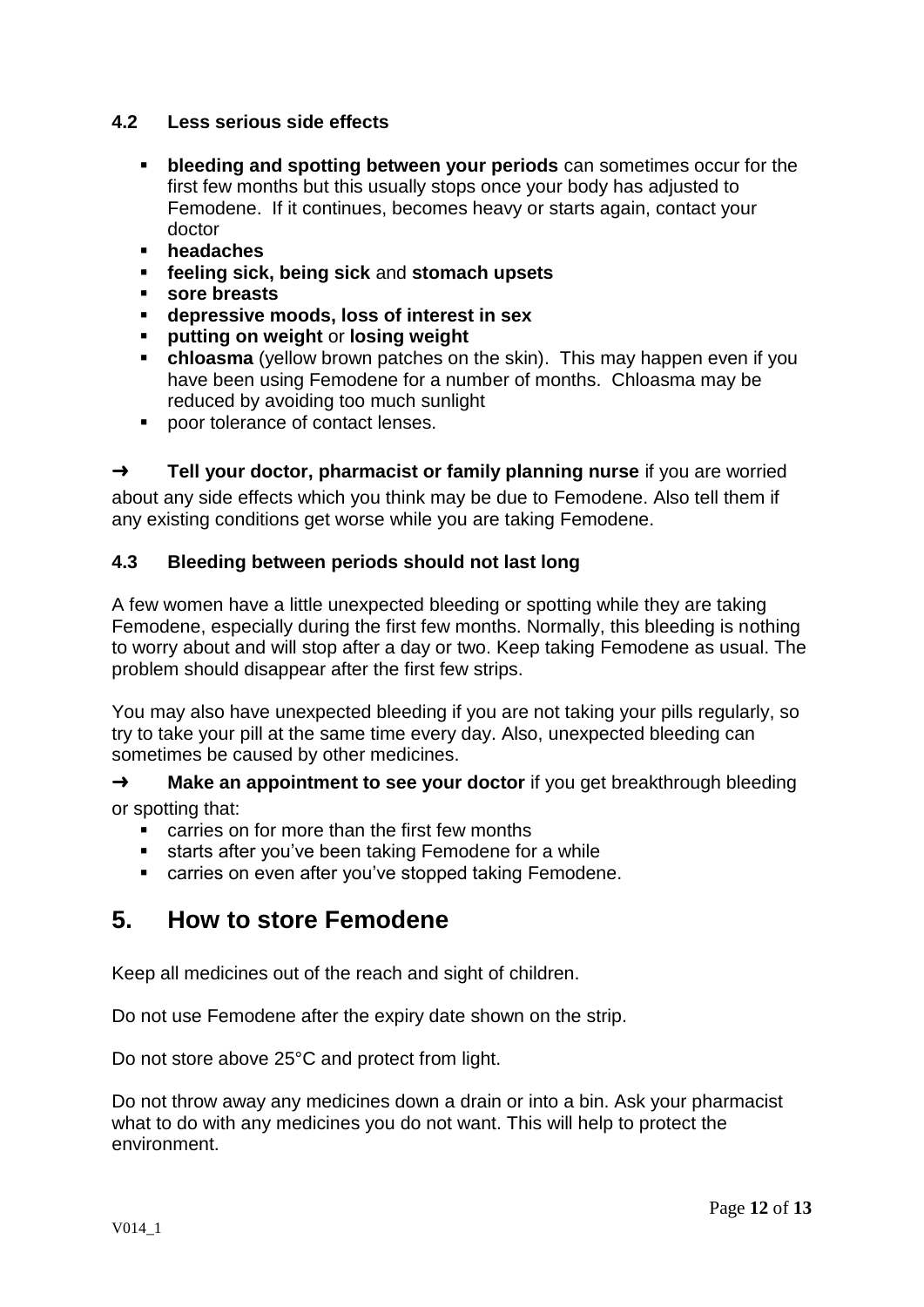## **4.2 Less serious side effects**

- **bleeding and spotting between your periods** can sometimes occur for the first few months but this usually stops once your body has adjusted to Femodene. If it continues, becomes heavy or starts again, contact your doctor
- **headaches**
- **feeling sick, being sick** and **stomach upsets**
- **sore breasts**
- **depressive moods, loss of interest in sex**
- **putting on weight** or **losing weight**
- **chloasma** (yellow brown patches on the skin). This may happen even if you have been using Femodene for a number of months. Chloasma may be reduced by avoiding too much sunlight
- poor tolerance of contact lenses.

➜ **Tell your doctor, pharmacist or family planning nurse** if you are worried about any side effects which you think may be due to Femodene. Also tell them if any existing conditions get worse while you are taking Femodene.

## **4.3 Bleeding between periods should not last long**

A few women have a little unexpected bleeding or spotting while they are taking Femodene, especially during the first few months. Normally, this bleeding is nothing to worry about and will stop after a day or two. Keep taking Femodene as usual. The problem should disappear after the first few strips.

You may also have unexpected bleeding if you are not taking your pills regularly, so try to take your pill at the same time every day. Also, unexpected bleeding can sometimes be caused by other medicines.

→ **Make an appointment to see your doctor** if you get breakthrough bleeding or spotting that:<br>carries or

- carries on for more than the first few months
- **starts after you've been taking Femodene for a while**
- **EXEC** carries on even after you've stopped taking Femodene.

# **5. How to store Femodene**

Keep all medicines out of the reach and sight of children.

Do not use Femodene after the expiry date shown on the strip.

Do not store above 25°C and protect from light.

Do not throw away any medicines down a drain or into a bin. Ask your pharmacist what to do with any medicines you do not want. This will help to protect the environment.